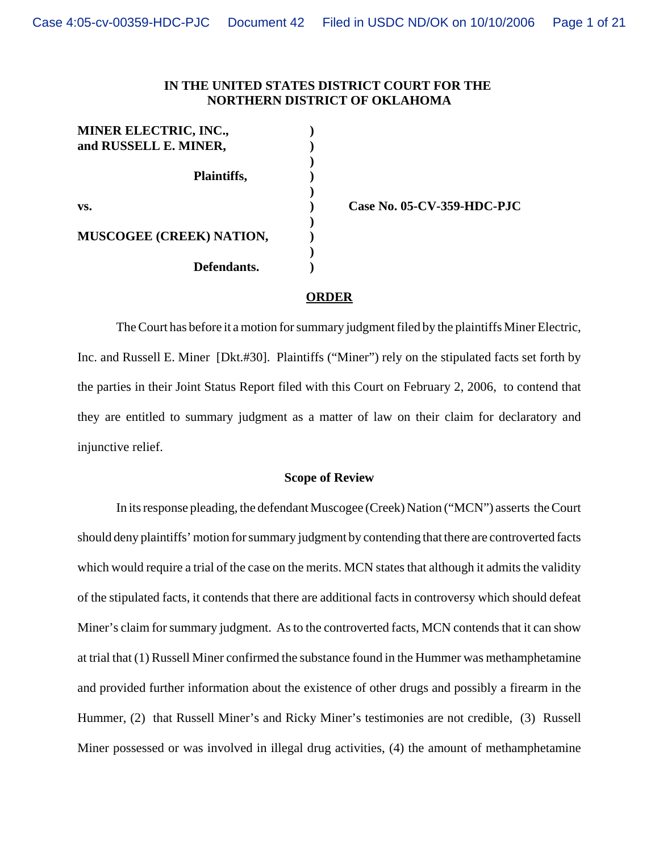# **IN THE UNITED STATES DISTRICT COURT FOR THE NORTHERN DISTRICT OF OKLAHOMA**

**)**

**)**

| <b>MINER ELECTRIC, INC.,</b><br>and RUSSELL E. MINER, |  |
|-------------------------------------------------------|--|
|                                                       |  |
| Plaintiffs,                                           |  |
| VS.                                                   |  |
|                                                       |  |
| <b>MUSCOGEE (CREEK) NATION,</b>                       |  |
|                                                       |  |
| Defendants.                                           |  |

**vs. ) Case No. 05-CV-359-HDC-PJC**

### **ORDER**

The Court has before it a motion for summary judgment filed by the plaintiffs Miner Electric, Inc. and Russell E. Miner [Dkt.#30]. Plaintiffs ("Miner") rely on the stipulated facts set forth by the parties in their Joint Status Report filed with this Court on February 2, 2006, to contend that they are entitled to summary judgment as a matter of law on their claim for declaratory and injunctive relief.

#### **Scope of Review**

In its response pleading, the defendant Muscogee (Creek) Nation ("MCN") asserts the Court should deny plaintiffs' motion for summary judgment by contending that there are controverted facts which would require a trial of the case on the merits. MCN states that although it admits the validity of the stipulated facts, it contends that there are additional facts in controversy which should defeat Miner's claim for summary judgment. As to the controverted facts, MCN contends that it can show at trial that (1) Russell Miner confirmed the substance found in the Hummer was methamphetamine and provided further information about the existence of other drugs and possibly a firearm in the Hummer, (2) that Russell Miner's and Ricky Miner's testimonies are not credible, (3) Russell Miner possessed or was involved in illegal drug activities, (4) the amount of methamphetamine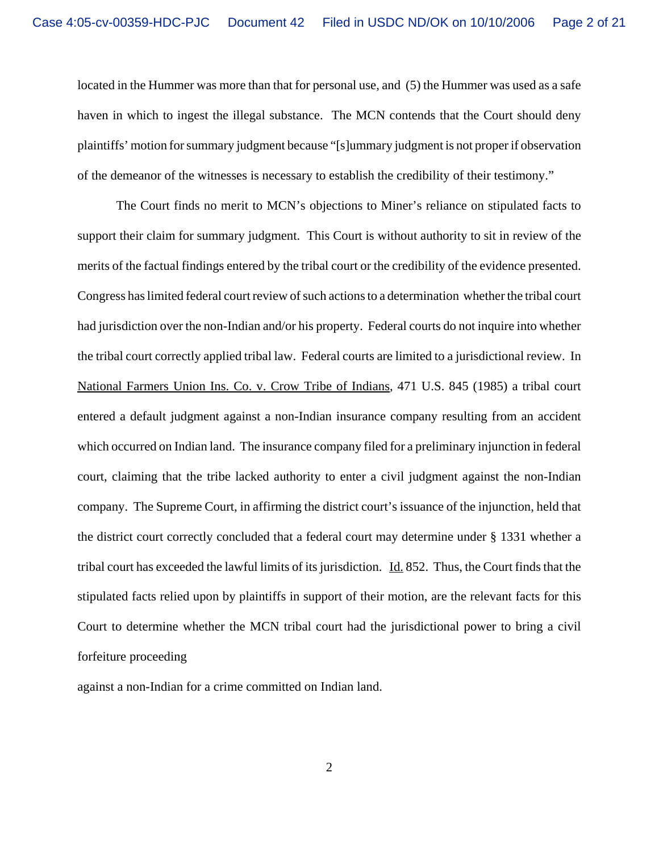located in the Hummer was more than that for personal use, and (5) the Hummer was used as a safe haven in which to ingest the illegal substance. The MCN contends that the Court should deny plaintiffs' motion for summary judgment because "[s]ummary judgment is not proper if observation of the demeanor of the witnesses is necessary to establish the credibility of their testimony."

The Court finds no merit to MCN's objections to Miner's reliance on stipulated facts to support their claim for summary judgment. This Court is without authority to sit in review of the merits of the factual findings entered by the tribal court or the credibility of the evidence presented. Congress has limited federal court review of such actions to a determination whether the tribal court had jurisdiction over the non-Indian and/or his property. Federal courts do not inquire into whether the tribal court correctly applied tribal law. Federal courts are limited to a jurisdictional review. In National Farmers Union Ins. Co. v. Crow Tribe of Indians, 471 U.S. 845 (1985) a tribal court entered a default judgment against a non-Indian insurance company resulting from an accident which occurred on Indian land. The insurance company filed for a preliminary injunction in federal court, claiming that the tribe lacked authority to enter a civil judgment against the non-Indian company. The Supreme Court, in affirming the district court's issuance of the injunction, held that the district court correctly concluded that a federal court may determine under § 1331 whether a tribal court has exceeded the lawful limits of its jurisdiction. Id. 852. Thus, the Court finds that the stipulated facts relied upon by plaintiffs in support of their motion, are the relevant facts for this Court to determine whether the MCN tribal court had the jurisdictional power to bring a civil forfeiture proceeding

against a non-Indian for a crime committed on Indian land.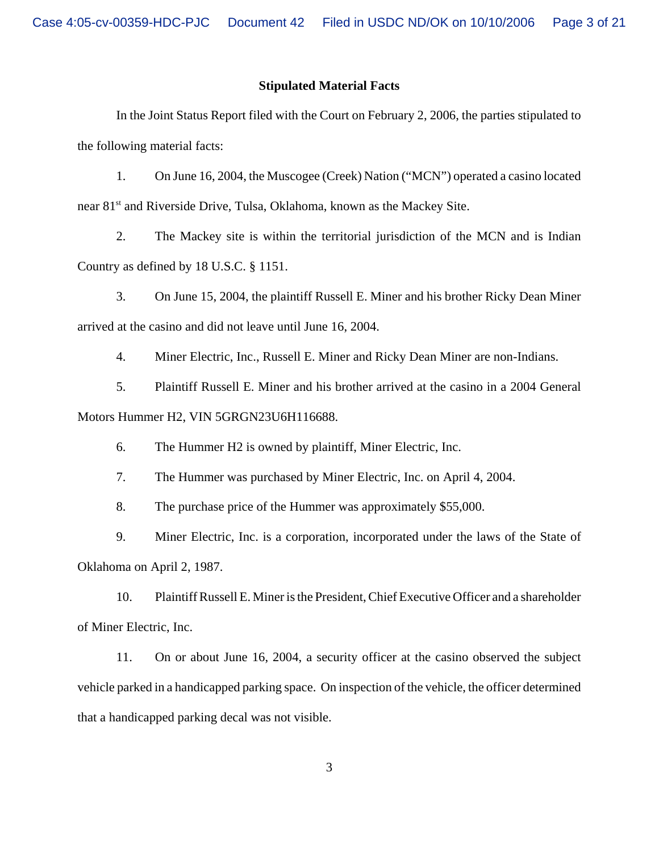## **Stipulated Material Facts**

In the Joint Status Report filed with the Court on February 2, 2006, the parties stipulated to the following material facts:

1. On June 16, 2004, the Muscogee (Creek) Nation ("MCN") operated a casino located near 81st and Riverside Drive, Tulsa, Oklahoma, known as the Mackey Site.

2. The Mackey site is within the territorial jurisdiction of the MCN and is Indian Country as defined by 18 U.S.C. § 1151.

3. On June 15, 2004, the plaintiff Russell E. Miner and his brother Ricky Dean Miner arrived at the casino and did not leave until June 16, 2004.

4. Miner Electric, Inc., Russell E. Miner and Ricky Dean Miner are non-Indians.

5. Plaintiff Russell E. Miner and his brother arrived at the casino in a 2004 General Motors Hummer H2, VIN 5GRGN23U6H116688.

6. The Hummer H2 is owned by plaintiff, Miner Electric, Inc.

7. The Hummer was purchased by Miner Electric, Inc. on April 4, 2004.

8. The purchase price of the Hummer was approximately \$55,000.

9. Miner Electric, Inc. is a corporation, incorporated under the laws of the State of Oklahoma on April 2, 1987.

10. Plaintiff Russell E. Miner is the President, Chief Executive Officer and a shareholder of Miner Electric, Inc.

11. On or about June 16, 2004, a security officer at the casino observed the subject vehicle parked in a handicapped parking space. On inspection of the vehicle, the officer determined that a handicapped parking decal was not visible.

3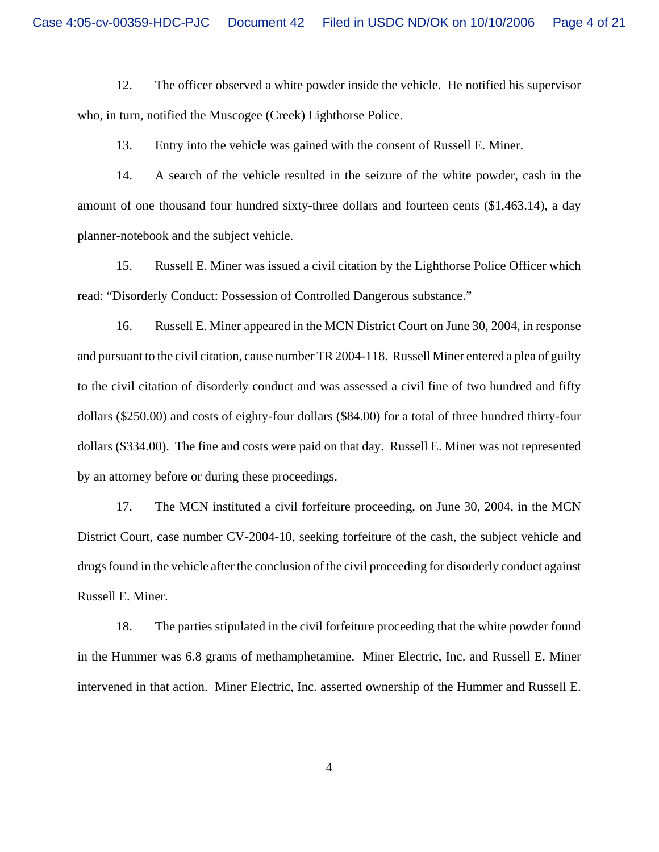12. The officer observed a white powder inside the vehicle. He notified his supervisor who, in turn, notified the Muscogee (Creek) Lighthorse Police.

13. Entry into the vehicle was gained with the consent of Russell E. Miner.

14. A search of the vehicle resulted in the seizure of the white powder, cash in the amount of one thousand four hundred sixty-three dollars and fourteen cents (\$1,463.14), a day planner-notebook and the subject vehicle.

15. Russell E. Miner was issued a civil citation by the Lighthorse Police Officer which read: "Disorderly Conduct: Possession of Controlled Dangerous substance."

16. Russell E. Miner appeared in the MCN District Court on June 30, 2004, in response and pursuant to the civil citation, cause number TR 2004-118. Russell Miner entered a plea of guilty to the civil citation of disorderly conduct and was assessed a civil fine of two hundred and fifty dollars (\$250.00) and costs of eighty-four dollars (\$84.00) for a total of three hundred thirty-four dollars (\$334.00). The fine and costs were paid on that day. Russell E. Miner was not represented by an attorney before or during these proceedings.

17. The MCN instituted a civil forfeiture proceeding, on June 30, 2004, in the MCN District Court, case number CV-2004-10, seeking forfeiture of the cash, the subject vehicle and drugs found in the vehicle after the conclusion of the civil proceeding for disorderly conduct against Russell E. Miner.

18. The parties stipulated in the civil forfeiture proceeding that the white powder found in the Hummer was 6.8 grams of methamphetamine. Miner Electric, Inc. and Russell E. Miner intervened in that action. Miner Electric, Inc. asserted ownership of the Hummer and Russell E.

4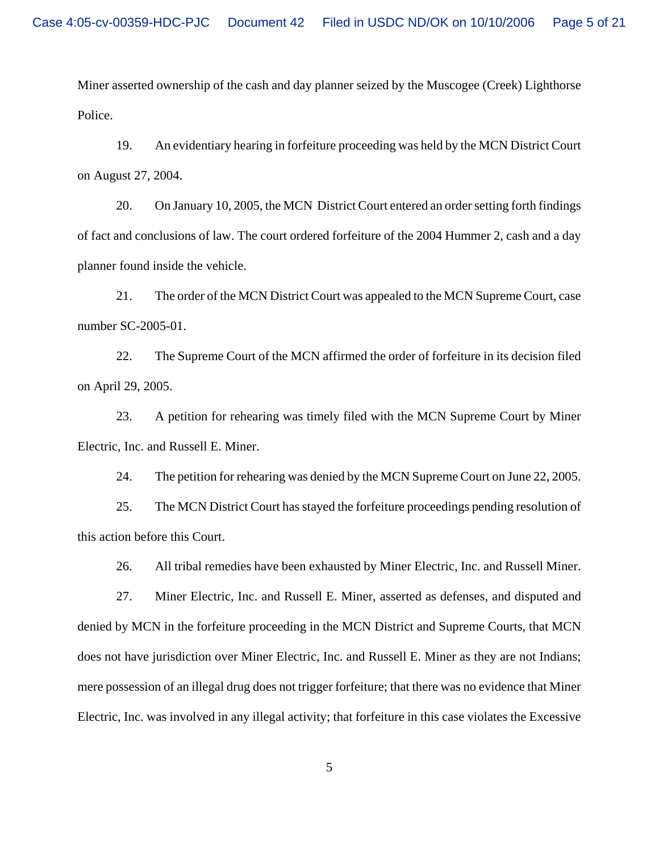Miner asserted ownership of the cash and day planner seized by the Muscogee (Creek) Lighthorse Police.

19. An evidentiary hearing in forfeiture proceeding was held by the MCN District Court on August 27, 2004.

20. On January 10, 2005, the MCN District Court entered an order setting forth findings of fact and conclusions of law. The court ordered forfeiture of the 2004 Hummer 2, cash and a day planner found inside the vehicle.

21. The order of the MCN District Court was appealed to the MCN Supreme Court, case number SC-2005-01.

22. The Supreme Court of the MCN affirmed the order of forfeiture in its decision filed on April 29, 2005.

23. A petition for rehearing was timely filed with the MCN Supreme Court by Miner Electric, Inc. and Russell E. Miner.

24. The petition for rehearing was denied by the MCN Supreme Court on June 22, 2005.

25. The MCN District Court has stayed the forfeiture proceedings pending resolution of this action before this Court.

26. All tribal remedies have been exhausted by Miner Electric, Inc. and Russell Miner.

27. Miner Electric, Inc. and Russell E. Miner, asserted as defenses, and disputed and denied by MCN in the forfeiture proceeding in the MCN District and Supreme Courts, that MCN does not have jurisdiction over Miner Electric, Inc. and Russell E. Miner as they are not Indians; mere possession of an illegal drug does not trigger forfeiture; that there was no evidence that Miner Electric, Inc. was involved in any illegal activity; that forfeiture in this case violates the Excessive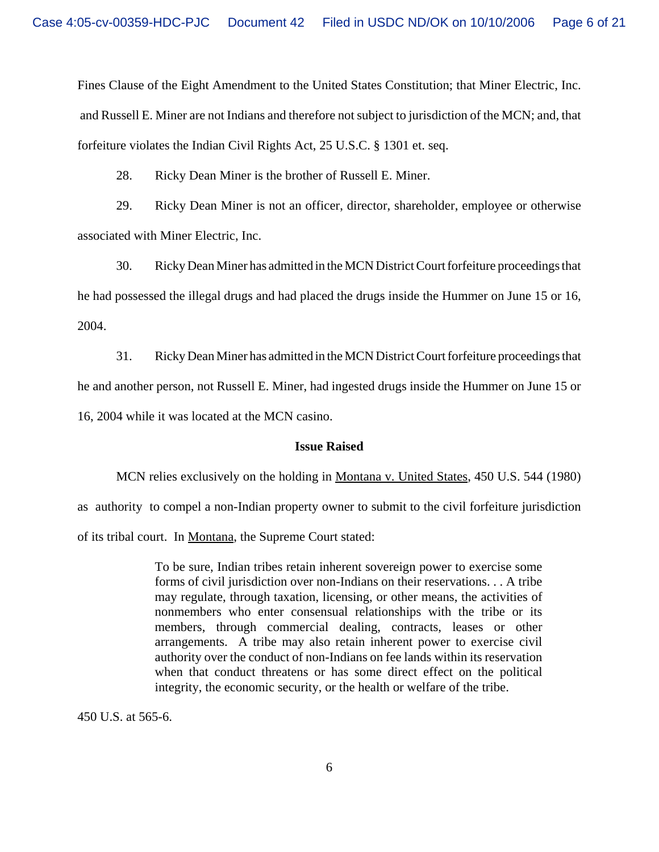Fines Clause of the Eight Amendment to the United States Constitution; that Miner Electric, Inc. and Russell E. Miner are not Indians and therefore not subject to jurisdiction of the MCN; and, that forfeiture violates the Indian Civil Rights Act, 25 U.S.C. § 1301 et. seq.

28. Ricky Dean Miner is the brother of Russell E. Miner.

29. Ricky Dean Miner is not an officer, director, shareholder, employee or otherwise associated with Miner Electric, Inc.

30. Ricky Dean Miner has admitted in the MCN District Court forfeiture proceedings that he had possessed the illegal drugs and had placed the drugs inside the Hummer on June 15 or 16, 2004.

31. Ricky Dean Miner has admitted in the MCN District Court forfeiture proceedings that he and another person, not Russell E. Miner, had ingested drugs inside the Hummer on June 15 or 16, 2004 while it was located at the MCN casino.

## **Issue Raised**

MCN relies exclusively on the holding in Montana v. United States, 450 U.S. 544 (1980) as authority to compel a non-Indian property owner to submit to the civil forfeiture jurisdiction of its tribal court. In Montana, the Supreme Court stated:

> To be sure, Indian tribes retain inherent sovereign power to exercise some forms of civil jurisdiction over non-Indians on their reservations. . . A tribe may regulate, through taxation, licensing, or other means, the activities of nonmembers who enter consensual relationships with the tribe or its members, through commercial dealing, contracts, leases or other arrangements. A tribe may also retain inherent power to exercise civil authority over the conduct of non-Indians on fee lands within its reservation when that conduct threatens or has some direct effect on the political integrity, the economic security, or the health or welfare of the tribe.

450 U.S. at 565-6.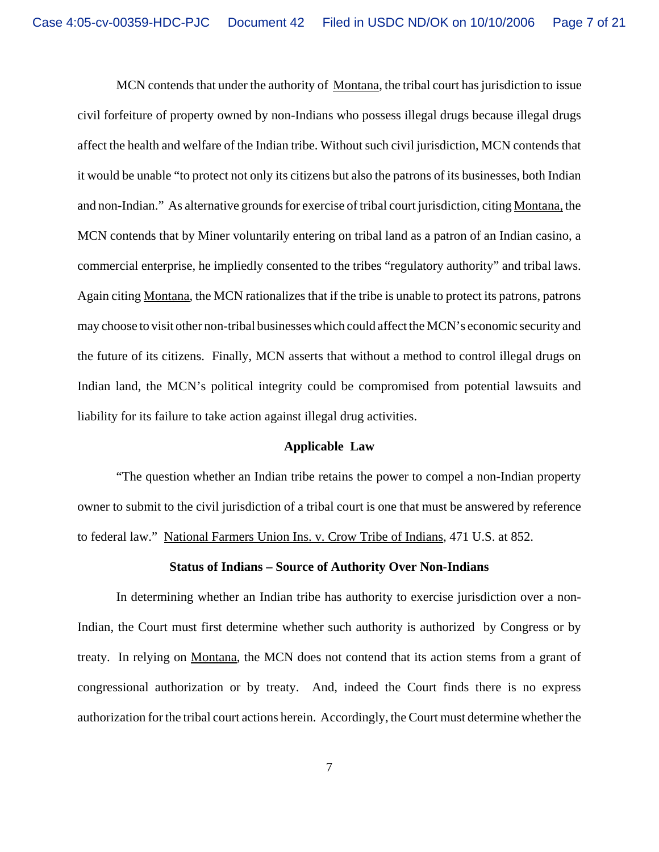MCN contends that under the authority of Montana, the tribal court has jurisdiction to issue civil forfeiture of property owned by non-Indians who possess illegal drugs because illegal drugs affect the health and welfare of the Indian tribe. Without such civil jurisdiction, MCN contends that it would be unable "to protect not only its citizens but also the patrons of its businesses, both Indian and non-Indian." As alternative grounds for exercise of tribal court jurisdiction, citing Montana, the MCN contends that by Miner voluntarily entering on tribal land as a patron of an Indian casino, a commercial enterprise, he impliedly consented to the tribes "regulatory authority" and tribal laws. Again citing Montana, the MCN rationalizes that if the tribe is unable to protect its patrons, patrons may choose to visit other non-tribal businesses which could affect the MCN's economic security and the future of its citizens. Finally, MCN asserts that without a method to control illegal drugs on Indian land, the MCN's political integrity could be compromised from potential lawsuits and liability for its failure to take action against illegal drug activities.

### **Applicable Law**

"The question whether an Indian tribe retains the power to compel a non-Indian property owner to submit to the civil jurisdiction of a tribal court is one that must be answered by reference to federal law." National Farmers Union Ins. v. Crow Tribe of Indians, 471 U.S. at 852.

### **Status of Indians – Source of Authority Over Non-Indians**

In determining whether an Indian tribe has authority to exercise jurisdiction over a non-Indian, the Court must first determine whether such authority is authorized by Congress or by treaty. In relying on Montana, the MCN does not contend that its action stems from a grant of congressional authorization or by treaty. And, indeed the Court finds there is no express authorization for the tribal court actions herein. Accordingly, the Court must determine whether the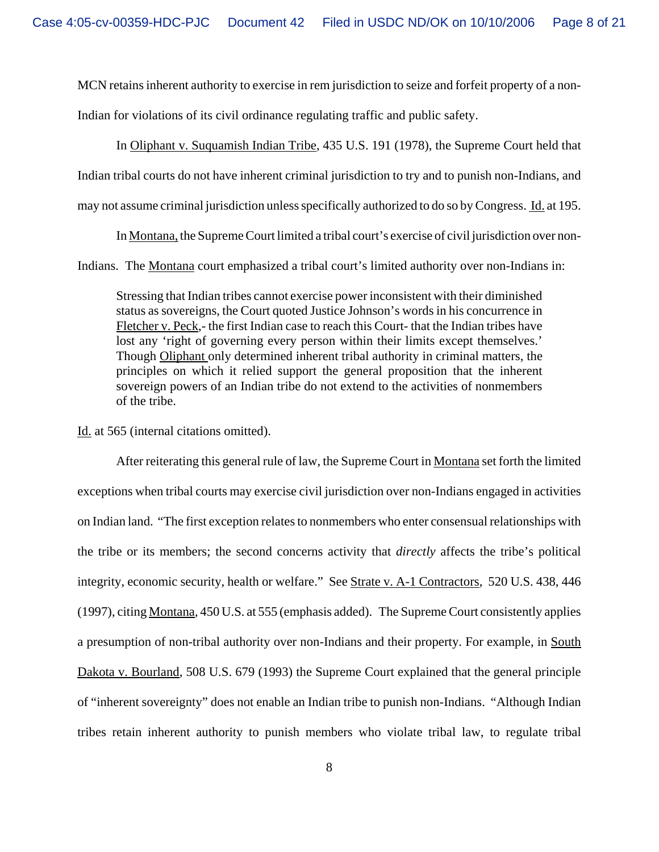MCN retains inherent authority to exercise in rem jurisdiction to seize and forfeit property of a non-

Indian for violations of its civil ordinance regulating traffic and public safety.

In Oliphant v. Suquamish Indian Tribe, 435 U.S. 191 (1978), the Supreme Court held that Indian tribal courts do not have inherent criminal jurisdiction to try and to punish non-Indians, and may not assume criminal jurisdiction unless specifically authorized to do so by Congress. Id. at 195.

In Montana, the Supreme Court limited a tribal court's exercise of civil jurisdiction over non-

Indians. The Montana court emphasized a tribal court's limited authority over non-Indians in:

Stressing that Indian tribes cannot exercise power inconsistent with their diminished status as sovereigns, the Court quoted Justice Johnson's words in his concurrence in Fletcher v. Peck,- the first Indian case to reach this Court- that the Indian tribes have lost any 'right of governing every person within their limits except themselves.' Though Oliphant only determined inherent tribal authority in criminal matters, the principles on which it relied support the general proposition that the inherent sovereign powers of an Indian tribe do not extend to the activities of nonmembers of the tribe.

Id. at 565 (internal citations omitted).

After reiterating this general rule of law, the Supreme Court in Montana set forth the limited exceptions when tribal courts may exercise civil jurisdiction over non-Indians engaged in activities on Indian land. "The first exception relates to nonmembers who enter consensual relationships with the tribe or its members; the second concerns activity that *directly* affects the tribe's political integrity, economic security, health or welfare." See Strate v. A-1 Contractors, 520 U.S. 438, 446 (1997), citing Montana, 450 U.S. at 555 (emphasis added). The Supreme Court consistently applies a presumption of non-tribal authority over non-Indians and their property. For example, in South Dakota v. Bourland, 508 U.S. 679 (1993) the Supreme Court explained that the general principle of "inherent sovereignty" does not enable an Indian tribe to punish non-Indians. "Although Indian tribes retain inherent authority to punish members who violate tribal law, to regulate tribal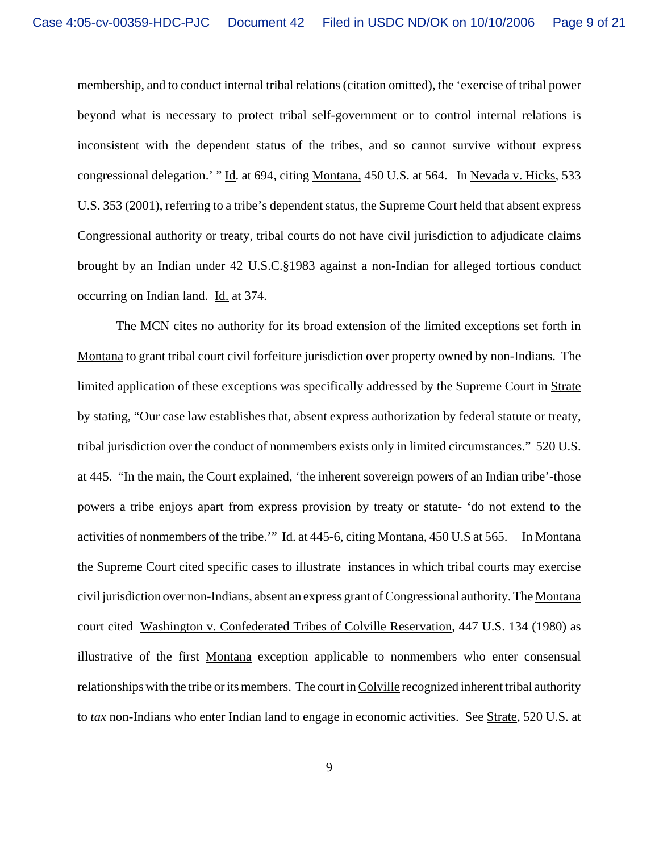membership, and to conduct internal tribal relations (citation omitted), the 'exercise of tribal power beyond what is necessary to protect tribal self-government or to control internal relations is inconsistent with the dependent status of the tribes, and so cannot survive without express congressional delegation.' " Id. at 694, citing Montana, 450 U.S. at 564. In Nevada v. Hicks, 533 U.S. 353 (2001), referring to a tribe's dependent status, the Supreme Court held that absent express Congressional authority or treaty, tribal courts do not have civil jurisdiction to adjudicate claims brought by an Indian under 42 U.S.C.§1983 against a non-Indian for alleged tortious conduct occurring on Indian land. Id. at 374.

The MCN cites no authority for its broad extension of the limited exceptions set forth in Montana to grant tribal court civil forfeiture jurisdiction over property owned by non-Indians. The limited application of these exceptions was specifically addressed by the Supreme Court in Strate by stating, "Our case law establishes that, absent express authorization by federal statute or treaty, tribal jurisdiction over the conduct of nonmembers exists only in limited circumstances." 520 U.S. at 445. "In the main, the Court explained, 'the inherent sovereign powers of an Indian tribe'-those powers a tribe enjoys apart from express provision by treaty or statute- 'do not extend to the activities of nonmembers of the tribe.'" Id. at 445-6, citing Montana, 450 U.S at 565. In Montana the Supreme Court cited specific cases to illustrate instances in which tribal courts may exercise civil jurisdiction over non-Indians, absent an express grant of Congressional authority. The Montana court cited Washington v. Confederated Tribes of Colville Reservation, 447 U.S. 134 (1980) as illustrative of the first Montana exception applicable to nonmembers who enter consensual relationships with the tribe or its members. The court in Colville recognized inherent tribal authority to *tax* non-Indians who enter Indian land to engage in economic activities. See Strate, 520 U.S. at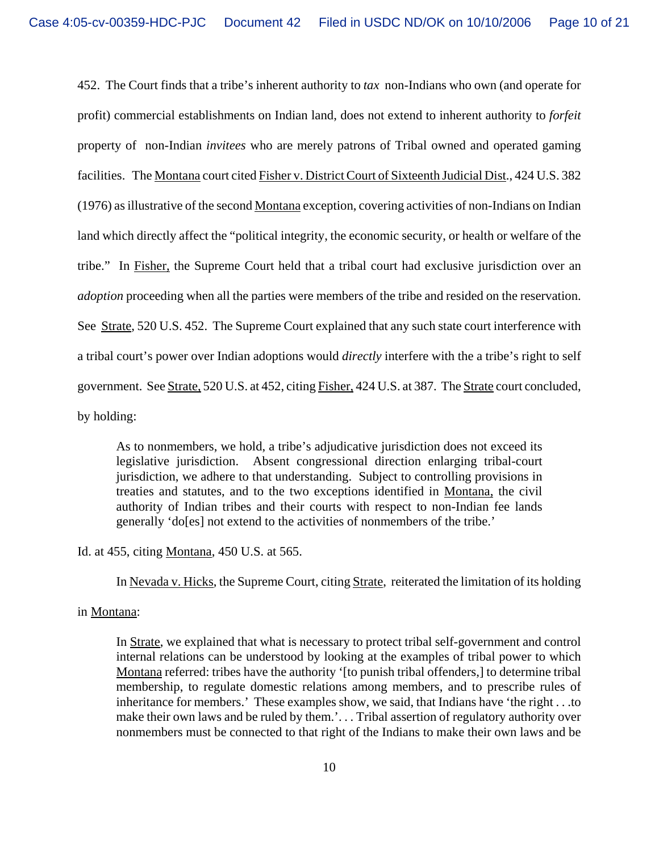452. The Court finds that a tribe's inherent authority to *tax* non-Indians who own (and operate for profit) commercial establishments on Indian land, does not extend to inherent authority to *forfeit* property of non-Indian *invitees* who are merely patrons of Tribal owned and operated gaming facilities. The Montana court cited Fisher v. District Court of Sixteenth Judicial Dist., 424 U.S. 382 (1976) as illustrative of the second Montana exception, covering activities of non-Indians on Indian land which directly affect the "political integrity, the economic security, or health or welfare of the tribe." In Fisher, the Supreme Court held that a tribal court had exclusive jurisdiction over an *adoption* proceeding when all the parties were members of the tribe and resided on the reservation. See Strate, 520 U.S. 452. The Supreme Court explained that any such state court interference with a tribal court's power over Indian adoptions would *directly* interfere with the a tribe's right to self government. See Strate, 520 U.S. at 452, citing Fisher, 424 U.S. at 387. The Strate court concluded, by holding:

As to nonmembers, we hold, a tribe's adjudicative jurisdiction does not exceed its legislative jurisdiction. Absent congressional direction enlarging tribal-court jurisdiction, we adhere to that understanding. Subject to controlling provisions in treaties and statutes, and to the two exceptions identified in Montana, the civil authority of Indian tribes and their courts with respect to non-Indian fee lands generally 'do[es] not extend to the activities of nonmembers of the tribe.'

## Id. at 455, citing Montana, 450 U.S. at 565.

In Nevada v. Hicks, the Supreme Court, citing Strate, reiterated the limitation of its holding

## in Montana:

In Strate, we explained that what is necessary to protect tribal self-government and control internal relations can be understood by looking at the examples of tribal power to which Montana referred: tribes have the authority '[to punish tribal offenders,] to determine tribal membership, to regulate domestic relations among members, and to prescribe rules of inheritance for members.' These examples show, we said, that Indians have 'the right . . .to make their own laws and be ruled by them.'... Tribal assertion of regulatory authority over nonmembers must be connected to that right of the Indians to make their own laws and be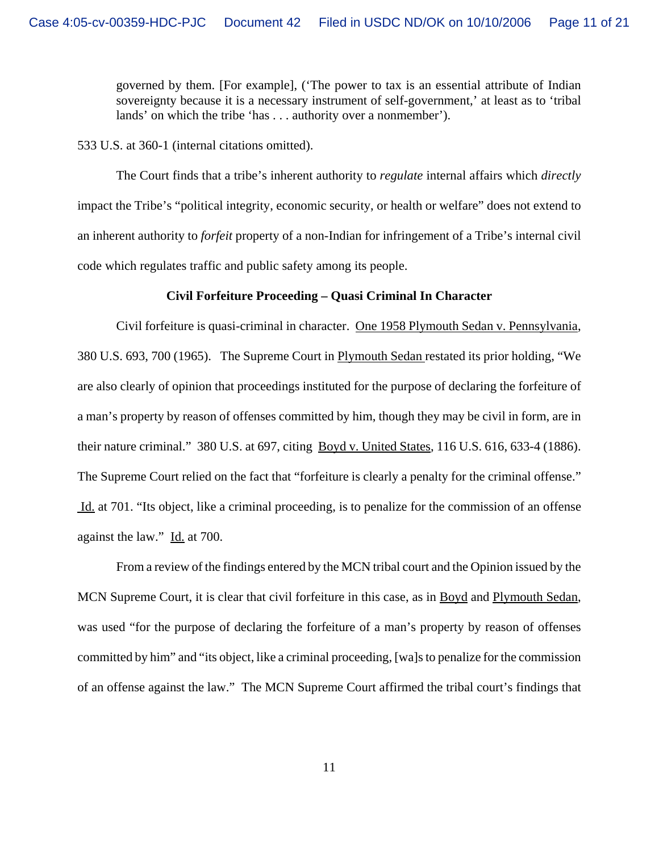governed by them. [For example], ('The power to tax is an essential attribute of Indian sovereignty because it is a necessary instrument of self-government,' at least as to 'tribal lands' on which the tribe 'has . . . authority over a nonmember').

533 U.S. at 360-1 (internal citations omitted).

The Court finds that a tribe's inherent authority to *regulate* internal affairs which *directly* impact the Tribe's "political integrity, economic security, or health or welfare" does not extend to an inherent authority to *forfeit* property of a non-Indian for infringement of a Tribe's internal civil code which regulates traffic and public safety among its people.

#### **Civil Forfeiture Proceeding – Quasi Criminal In Character**

Civil forfeiture is quasi-criminal in character. One 1958 Plymouth Sedan v. Pennsylvania, 380 U.S. 693, 700 (1965). The Supreme Court in Plymouth Sedan restated its prior holding, "We are also clearly of opinion that proceedings instituted for the purpose of declaring the forfeiture of a man's property by reason of offenses committed by him, though they may be civil in form, are in their nature criminal." 380 U.S. at 697, citing Boyd v. United States, 116 U.S. 616, 633-4 (1886). The Supreme Court relied on the fact that "forfeiture is clearly a penalty for the criminal offense." Id. at 701. "Its object, like a criminal proceeding, is to penalize for the commission of an offense against the law." Id. at 700.

From a review of the findings entered by the MCN tribal court and the Opinion issued by the MCN Supreme Court, it is clear that civil forfeiture in this case, as in Boyd and Plymouth Sedan, was used "for the purpose of declaring the forfeiture of a man's property by reason of offenses committed by him" and "its object, like a criminal proceeding, [wa]s to penalize for the commission of an offense against the law." The MCN Supreme Court affirmed the tribal court's findings that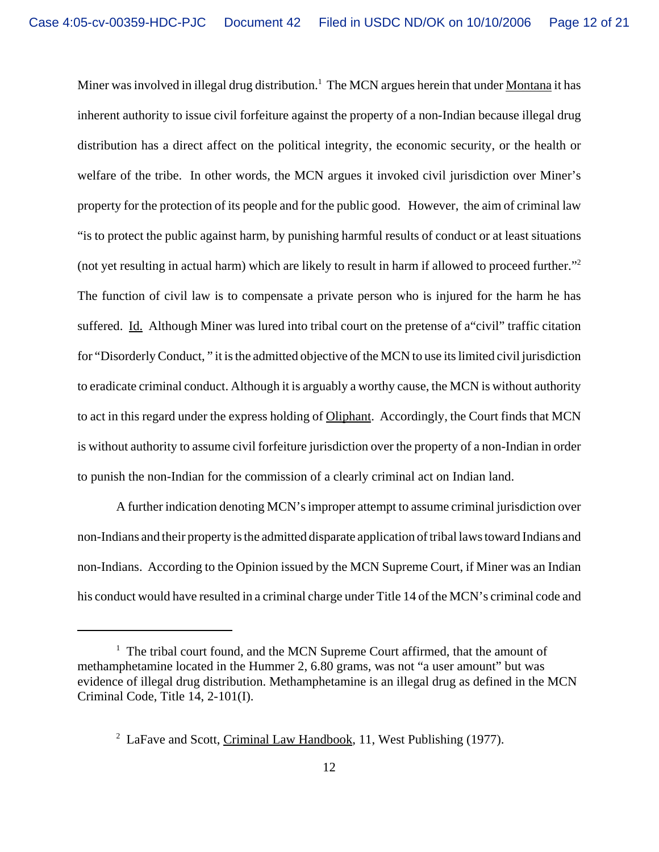Miner was involved in illegal drug distribution.<sup>1</sup> The MCN argues herein that under Montana it has inherent authority to issue civil forfeiture against the property of a non-Indian because illegal drug distribution has a direct affect on the political integrity, the economic security, or the health or welfare of the tribe. In other words, the MCN argues it invoked civil jurisdiction over Miner's property for the protection of its people and for the public good. However, the aim of criminal law "is to protect the public against harm, by punishing harmful results of conduct or at least situations (not yet resulting in actual harm) which are likely to result in harm if allowed to proceed further."2 The function of civil law is to compensate a private person who is injured for the harm he has suffered. Id. Although Miner was lured into tribal court on the pretense of a"civil" traffic citation for "Disorderly Conduct, " it is the admitted objective of the MCN to use its limited civil jurisdiction to eradicate criminal conduct. Although it is arguably a worthy cause, the MCN is without authority to act in this regard under the express holding of Oliphant. Accordingly, the Court finds that MCN is without authority to assume civil forfeiture jurisdiction over the property of a non-Indian in order to punish the non-Indian for the commission of a clearly criminal act on Indian land.

A further indication denoting MCN's improper attempt to assume criminal jurisdiction over non-Indians and their property is the admitted disparate application of tribal laws toward Indians and non-Indians. According to the Opinion issued by the MCN Supreme Court, if Miner was an Indian his conduct would have resulted in a criminal charge under Title 14 of the MCN's criminal code and

<sup>&</sup>lt;sup>1</sup> The tribal court found, and the MCN Supreme Court affirmed, that the amount of methamphetamine located in the Hummer 2, 6.80 grams, was not "a user amount" but was evidence of illegal drug distribution. Methamphetamine is an illegal drug as defined in the MCN Criminal Code, Title 14, 2-101(I).

<sup>&</sup>lt;sup>2</sup> LaFave and Scott, Criminal Law Handbook, 11, West Publishing (1977).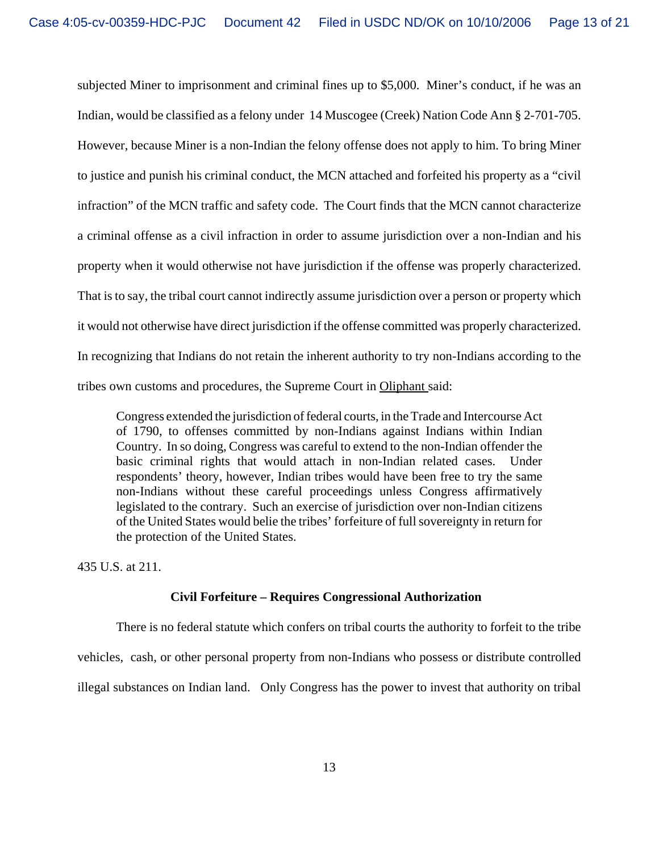subjected Miner to imprisonment and criminal fines up to \$5,000. Miner's conduct, if he was an Indian, would be classified as a felony under 14 Muscogee (Creek) Nation Code Ann § 2-701-705. However, because Miner is a non-Indian the felony offense does not apply to him. To bring Miner to justice and punish his criminal conduct, the MCN attached and forfeited his property as a "civil infraction" of the MCN traffic and safety code. The Court finds that the MCN cannot characterize a criminal offense as a civil infraction in order to assume jurisdiction over a non-Indian and his property when it would otherwise not have jurisdiction if the offense was properly characterized. That is to say, the tribal court cannot indirectly assume jurisdiction over a person or property which it would not otherwise have direct jurisdiction if the offense committed was properly characterized. In recognizing that Indians do not retain the inherent authority to try non-Indians according to the tribes own customs and procedures, the Supreme Court in Oliphant said:

Congress extended the jurisdiction of federal courts, in the Trade and Intercourse Act of 1790, to offenses committed by non-Indians against Indians within Indian Country. In so doing, Congress was careful to extend to the non-Indian offender the basic criminal rights that would attach in non-Indian related cases. Under respondents' theory, however, Indian tribes would have been free to try the same non-Indians without these careful proceedings unless Congress affirmatively legislated to the contrary. Such an exercise of jurisdiction over non-Indian citizens of the United States would belie the tribes' forfeiture of full sovereignty in return for the protection of the United States.

435 U.S. at 211.

# **Civil Forfeiture – Requires Congressional Authorization**

There is no federal statute which confers on tribal courts the authority to forfeit to the tribe vehicles, cash, or other personal property from non-Indians who possess or distribute controlled illegal substances on Indian land. Only Congress has the power to invest that authority on tribal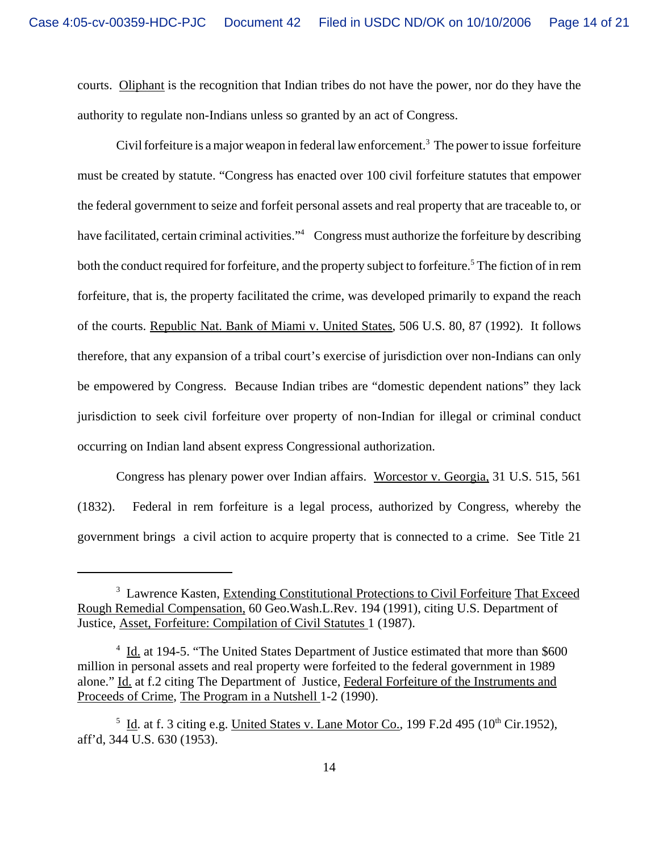courts. Oliphant is the recognition that Indian tribes do not have the power, nor do they have the authority to regulate non-Indians unless so granted by an act of Congress.

Civil forfeiture is a major weapon in federal law enforcement.<sup>3</sup> The power to issue forfeiture must be created by statute. "Congress has enacted over 100 civil forfeiture statutes that empower the federal government to seize and forfeit personal assets and real property that are traceable to, or have facilitated, certain criminal activities."<sup>4</sup> Congress must authorize the forfeiture by describing both the conduct required for forfeiture, and the property subject to forfeiture.<sup>5</sup> The fiction of in rem forfeiture, that is, the property facilitated the crime, was developed primarily to expand the reach of the courts. Republic Nat. Bank of Miami v. United States, 506 U.S. 80, 87 (1992). It follows therefore, that any expansion of a tribal court's exercise of jurisdiction over non-Indians can only be empowered by Congress. Because Indian tribes are "domestic dependent nations" they lack jurisdiction to seek civil forfeiture over property of non-Indian for illegal or criminal conduct occurring on Indian land absent express Congressional authorization.

Congress has plenary power over Indian affairs. Worcestor v. Georgia, 31 U.S. 515, 561 (1832). Federal in rem forfeiture is a legal process, authorized by Congress, whereby the government brings a civil action to acquire property that is connected to a crime. See Title 21

<sup>&</sup>lt;sup>3</sup> Lawrence Kasten, Extending Constitutional Protections to Civil Forfeiture That Exceed Rough Remedial Compensation, 60 Geo.Wash.L.Rev. 194 (1991), citing U.S. Department of Justice, Asset, Forfeiture: Compilation of Civil Statutes 1 (1987).

<sup>&</sup>lt;sup>4</sup> Id. at 194-5. "The United States Department of Justice estimated that more than \$600 million in personal assets and real property were forfeited to the federal government in 1989 alone." Id. at f.2 citing The Department of Justice, Federal Forfeiture of the Instruments and Proceeds of Crime, The Program in a Nutshell 1-2 (1990).

<sup>&</sup>lt;sup>5</sup> Id. at f. 3 citing e.g. United States v. Lane Motor Co., 199 F.2d 495 (10<sup>th</sup> Cir.1952), aff'd, 344 U.S. 630 (1953).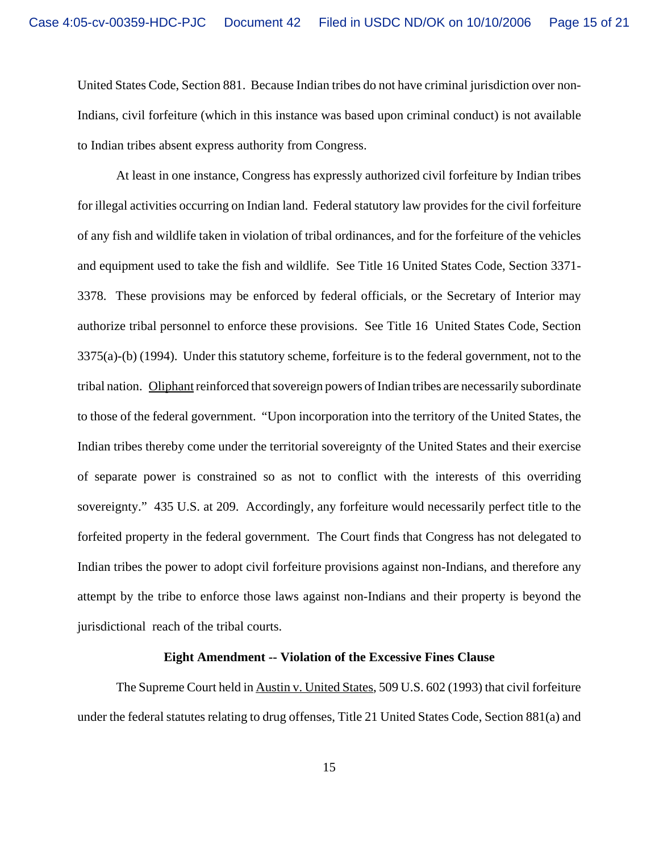United States Code, Section 881. Because Indian tribes do not have criminal jurisdiction over non-Indians, civil forfeiture (which in this instance was based upon criminal conduct) is not available to Indian tribes absent express authority from Congress.

At least in one instance, Congress has expressly authorized civil forfeiture by Indian tribes for illegal activities occurring on Indian land. Federal statutory law provides for the civil forfeiture of any fish and wildlife taken in violation of tribal ordinances, and for the forfeiture of the vehicles and equipment used to take the fish and wildlife. See Title 16 United States Code, Section 3371- 3378. These provisions may be enforced by federal officials, or the Secretary of Interior may authorize tribal personnel to enforce these provisions. See Title 16 United States Code, Section 3375(a)-(b) (1994). Under this statutory scheme, forfeiture is to the federal government, not to the tribal nation. Oliphant reinforced that sovereign powers of Indian tribes are necessarily subordinate to those of the federal government. "Upon incorporation into the territory of the United States, the Indian tribes thereby come under the territorial sovereignty of the United States and their exercise of separate power is constrained so as not to conflict with the interests of this overriding sovereignty." 435 U.S. at 209. Accordingly, any forfeiture would necessarily perfect title to the forfeited property in the federal government. The Court finds that Congress has not delegated to Indian tribes the power to adopt civil forfeiture provisions against non-Indians, and therefore any attempt by the tribe to enforce those laws against non-Indians and their property is beyond the jurisdictional reach of the tribal courts.

# **Eight Amendment -- Violation of the Excessive Fines Clause**

The Supreme Court held in Austin v. United States, 509 U.S. 602 (1993) that civil forfeiture under the federal statutes relating to drug offenses, Title 21 United States Code, Section 881(a) and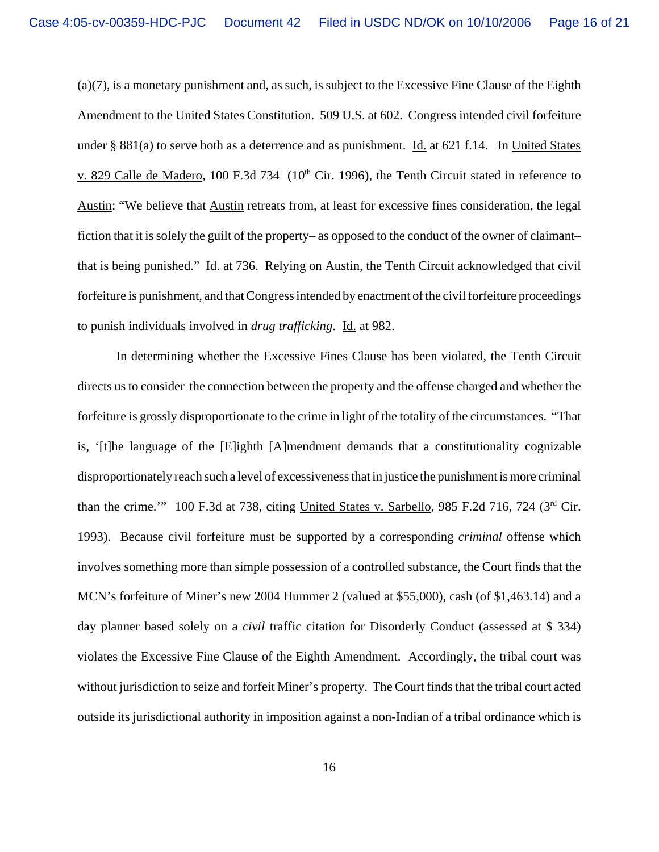(a)(7), is a monetary punishment and, as such, is subject to the Excessive Fine Clause of the Eighth Amendment to the United States Constitution. 509 U.S. at 602. Congress intended civil forfeiture under § 881(a) to serve both as a deterrence and as punishment. Id. at 621 f.14. In United States v. 829 Calle de Madero, 100 F.3d 734 ( $10<sup>th</sup>$  Cir. 1996), the Tenth Circuit stated in reference to Austin: "We believe that Austin retreats from, at least for excessive fines consideration, the legal fiction that it is solely the guilt of the property– as opposed to the conduct of the owner of claimant– that is being punished." Id. at 736. Relying on Austin, the Tenth Circuit acknowledged that civil forfeiture is punishment, and that Congress intended by enactment of the civil forfeiture proceedings to punish individuals involved in *drug trafficking*. Id. at 982.

In determining whether the Excessive Fines Clause has been violated, the Tenth Circuit directs us to consider the connection between the property and the offense charged and whether the forfeiture is grossly disproportionate to the crime in light of the totality of the circumstances. "That is, '[t]he language of the [E]ighth [A]mendment demands that a constitutionality cognizable disproportionately reach such a level of excessiveness that in justice the punishment is more criminal than the crime.'" 100 F.3d at 738, citing United States v. Sarbello, 985 F.2d 716, 724 (3<sup>rd</sup> Cir. 1993). Because civil forfeiture must be supported by a corresponding *criminal* offense which involves something more than simple possession of a controlled substance, the Court finds that the MCN's forfeiture of Miner's new 2004 Hummer 2 (valued at \$55,000), cash (of \$1,463.14) and a day planner based solely on a *civil* traffic citation for Disorderly Conduct (assessed at \$ 334) violates the Excessive Fine Clause of the Eighth Amendment. Accordingly, the tribal court was without jurisdiction to seize and forfeit Miner's property. The Court finds that the tribal court acted outside its jurisdictional authority in imposition against a non-Indian of a tribal ordinance which is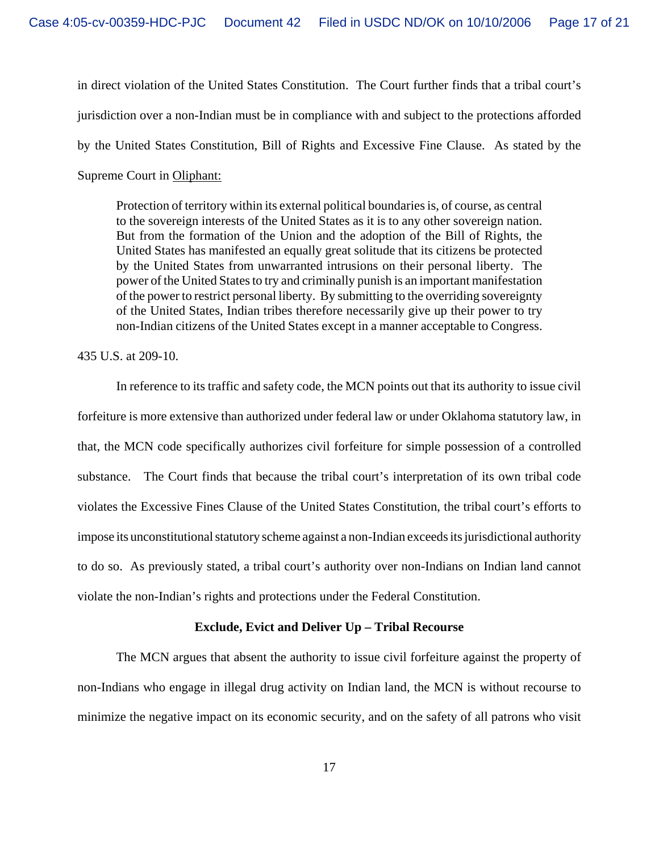in direct violation of the United States Constitution. The Court further finds that a tribal court's jurisdiction over a non-Indian must be in compliance with and subject to the protections afforded by the United States Constitution, Bill of Rights and Excessive Fine Clause. As stated by the Supreme Court in Oliphant:

Protection of territory within its external political boundaries is, of course, as central to the sovereign interests of the United States as it is to any other sovereign nation. But from the formation of the Union and the adoption of the Bill of Rights, the United States has manifested an equally great solitude that its citizens be protected by the United States from unwarranted intrusions on their personal liberty. The power of the United States to try and criminally punish is an important manifestation of the power to restrict personal liberty. By submitting to the overriding sovereignty of the United States, Indian tribes therefore necessarily give up their power to try non-Indian citizens of the United States except in a manner acceptable to Congress.

# 435 U.S. at 209-10.

In reference to its traffic and safety code, the MCN points out that its authority to issue civil forfeiture is more extensive than authorized under federal law or under Oklahoma statutory law, in that, the MCN code specifically authorizes civil forfeiture for simple possession of a controlled substance. The Court finds that because the tribal court's interpretation of its own tribal code violates the Excessive Fines Clause of the United States Constitution, the tribal court's efforts to impose its unconstitutional statutory scheme against a non-Indian exceeds its jurisdictional authority to do so. As previously stated, a tribal court's authority over non-Indians on Indian land cannot violate the non-Indian's rights and protections under the Federal Constitution.

## **Exclude, Evict and Deliver Up – Tribal Recourse**

The MCN argues that absent the authority to issue civil forfeiture against the property of non-Indians who engage in illegal drug activity on Indian land, the MCN is without recourse to minimize the negative impact on its economic security, and on the safety of all patrons who visit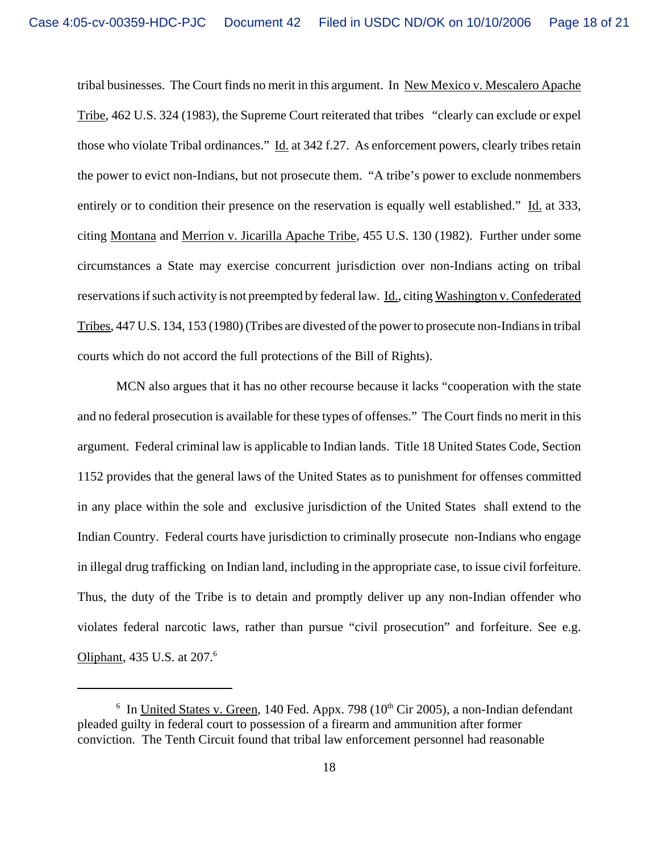tribal businesses. The Court finds no merit in this argument. In New Mexico v. Mescalero Apache Tribe, 462 U.S. 324 (1983), the Supreme Court reiterated that tribes "clearly can exclude or expel those who violate Tribal ordinances." Id. at 342 f.27. As enforcement powers, clearly tribes retain the power to evict non-Indians, but not prosecute them. "A tribe's power to exclude nonmembers entirely or to condition their presence on the reservation is equally well established." Id. at 333, citing Montana and Merrion v. Jicarilla Apache Tribe, 455 U.S. 130 (1982). Further under some circumstances a State may exercise concurrent jurisdiction over non-Indians acting on tribal reservations if such activity is not preempted by federal law. Id., citing Washington v. Confederated Tribes, 447 U.S. 134, 153 (1980) (Tribes are divested of the power to prosecute non-Indians in tribal courts which do not accord the full protections of the Bill of Rights).

MCN also argues that it has no other recourse because it lacks "cooperation with the state and no federal prosecution is available for these types of offenses." The Court finds no merit in this argument. Federal criminal law is applicable to Indian lands. Title 18 United States Code, Section 1152 provides that the general laws of the United States as to punishment for offenses committed in any place within the sole and exclusive jurisdiction of the United States shall extend to the Indian Country. Federal courts have jurisdiction to criminally prosecute non-Indians who engage in illegal drug trafficking on Indian land, including in the appropriate case, to issue civil forfeiture. Thus, the duty of the Tribe is to detain and promptly deliver up any non-Indian offender who violates federal narcotic laws, rather than pursue "civil prosecution" and forfeiture. See e.g. Oliphant, 435 U.S. at 207.<sup>6</sup>

<sup>&</sup>lt;sup>6</sup> In United States v. Green, 140 Fed. Appx. 798 ( $10<sup>th</sup>$  Cir 2005), a non-Indian defendant pleaded guilty in federal court to possession of a firearm and ammunition after former conviction. The Tenth Circuit found that tribal law enforcement personnel had reasonable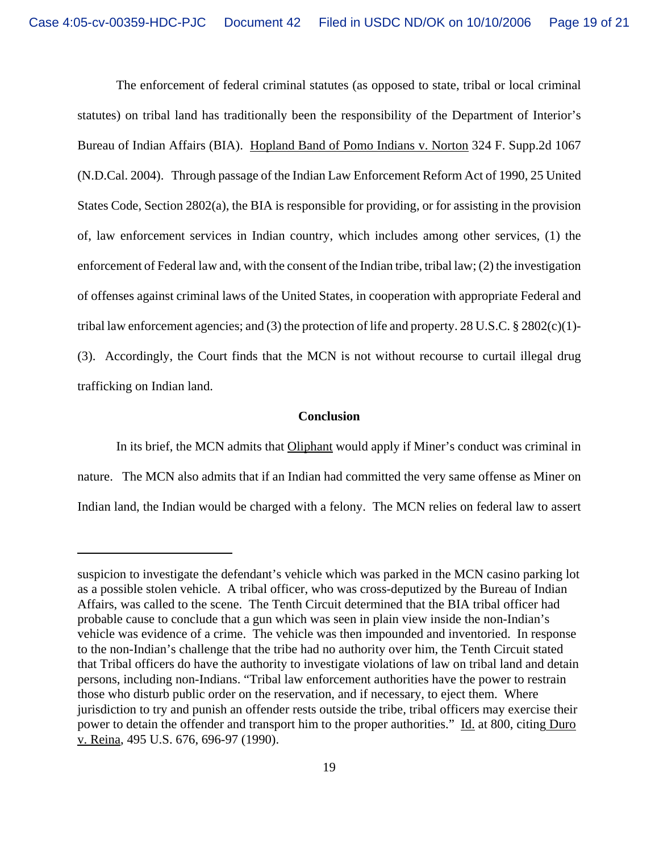The enforcement of federal criminal statutes (as opposed to state, tribal or local criminal statutes) on tribal land has traditionally been the responsibility of the Department of Interior's Bureau of Indian Affairs (BIA). Hopland Band of Pomo Indians v. Norton 324 F. Supp.2d 1067 (N.D.Cal. 2004). Through passage of the Indian Law Enforcement Reform Act of 1990, 25 United States Code, Section 2802(a), the BIA is responsible for providing, or for assisting in the provision of, law enforcement services in Indian country, which includes among other services, (1) the enforcement of Federal law and, with the consent of the Indian tribe, tribal law; (2) the investigation of offenses against criminal laws of the United States, in cooperation with appropriate Federal and tribal law enforcement agencies; and (3) the protection of life and property. 28 U.S.C. § 2802(c)(1)- (3). Accordingly, the Court finds that the MCN is not without recourse to curtail illegal drug trafficking on Indian land.

## **Conclusion**

In its brief, the MCN admits that Oliphant would apply if Miner's conduct was criminal in nature. The MCN also admits that if an Indian had committed the very same offense as Miner on Indian land, the Indian would be charged with a felony. The MCN relies on federal law to assert

suspicion to investigate the defendant's vehicle which was parked in the MCN casino parking lot as a possible stolen vehicle. A tribal officer, who was cross-deputized by the Bureau of Indian Affairs, was called to the scene. The Tenth Circuit determined that the BIA tribal officer had probable cause to conclude that a gun which was seen in plain view inside the non-Indian's vehicle was evidence of a crime. The vehicle was then impounded and inventoried. In response to the non-Indian's challenge that the tribe had no authority over him, the Tenth Circuit stated that Tribal officers do have the authority to investigate violations of law on tribal land and detain persons, including non-Indians. "Tribal law enforcement authorities have the power to restrain those who disturb public order on the reservation, and if necessary, to eject them. Where jurisdiction to try and punish an offender rests outside the tribe, tribal officers may exercise their power to detain the offender and transport him to the proper authorities." Id. at 800, citing Duro v. Reina, 495 U.S. 676, 696-97 (1990).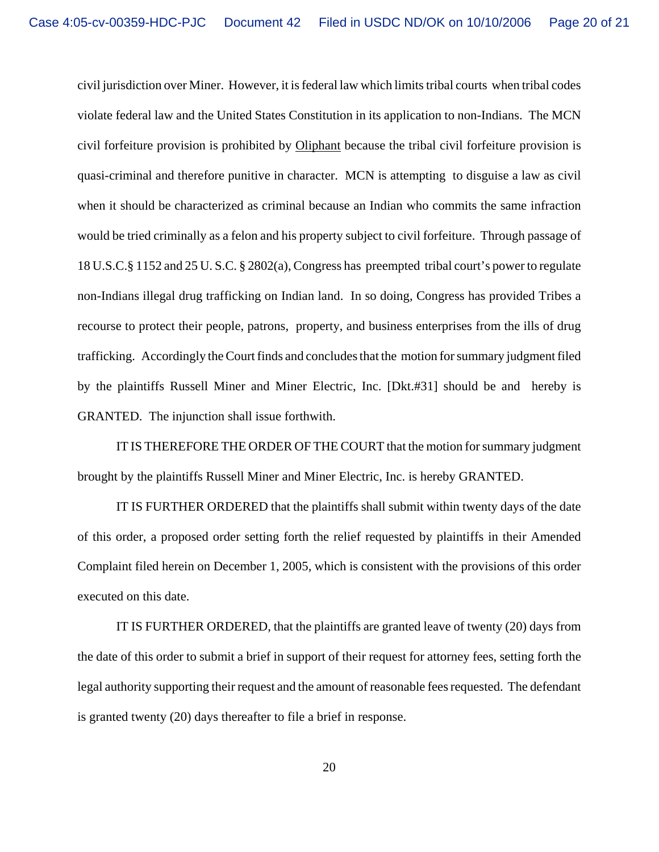civil jurisdiction over Miner. However, it is federal law which limits tribal courts when tribal codes violate federal law and the United States Constitution in its application to non-Indians. The MCN civil forfeiture provision is prohibited by Oliphant because the tribal civil forfeiture provision is quasi-criminal and therefore punitive in character. MCN is attempting to disguise a law as civil when it should be characterized as criminal because an Indian who commits the same infraction would be tried criminally as a felon and his property subject to civil forfeiture. Through passage of 18 U.S.C.§ 1152 and 25 U. S.C. § 2802(a), Congress has preempted tribal court's power to regulate non-Indians illegal drug trafficking on Indian land. In so doing, Congress has provided Tribes a recourse to protect their people, patrons, property, and business enterprises from the ills of drug trafficking. Accordingly the Court finds and concludes that the motion for summary judgment filed by the plaintiffs Russell Miner and Miner Electric, Inc. [Dkt.#31] should be and hereby is GRANTED. The injunction shall issue forthwith.

IT IS THEREFORE THE ORDER OF THE COURT that the motion for summary judgment brought by the plaintiffs Russell Miner and Miner Electric, Inc. is hereby GRANTED.

IT IS FURTHER ORDERED that the plaintiffs shall submit within twenty days of the date of this order, a proposed order setting forth the relief requested by plaintiffs in their Amended Complaint filed herein on December 1, 2005, which is consistent with the provisions of this order executed on this date.

IT IS FURTHER ORDERED, that the plaintiffs are granted leave of twenty (20) days from the date of this order to submit a brief in support of their request for attorney fees, setting forth the legal authority supporting their request and the amount of reasonable fees requested. The defendant is granted twenty (20) days thereafter to file a brief in response.